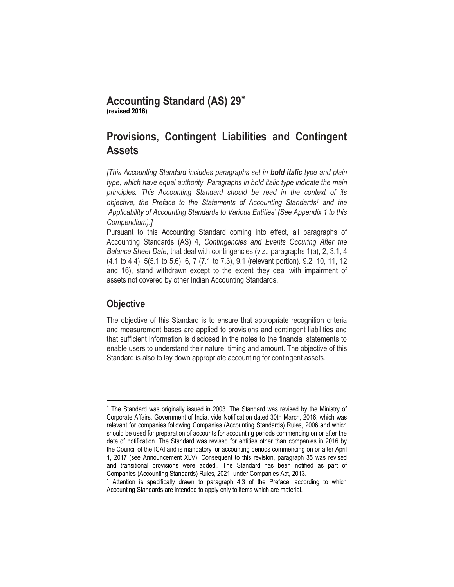### **Accounting Standard (AS) 29 (revised 2016)**

# **Provisions, Contingent Liabilities and Contingent Assets**

*[This Accounting Standard includes paragraphs set in bold italic type and plain type, which have equal authority. Paragraphs in bold italic type indicate the main principles. This Accounting Standard should be read in the context of its objective, the Preface to the Statements of Accounting Standards<sup>1</sup> and the 'Applicability of Accounting Standards to Various Entities' (See Appendix 1 to this Compendium).]*

Pursuant to this Accounting Standard coming into effect, all paragraphs of Accounting Standards (AS) 4, *Contingencies and Events Occuring After the Balance Sheet Date*, that deal with contingencies (viz., paragraphs 1(a), 2, 3.1, 4 (4.1 to 4.4), 5(5.1 to 5.6), 6, 7 (7.1 to 7.3), 9.1 (relevant portion). 9.2, 10, 11, 12 and 16), stand withdrawn except to the extent they deal with impairment of assets not covered by other Indian Accounting Standards.

## **Objective**

-

The objective of this Standard is to ensure that appropriate recognition criteria and measurement bases are applied to provisions and contingent liabilities and that sufficient information is disclosed in the notes to the financial statements to enable users to understand their nature, timing and amount. The objective of this Standard is also to lay down appropriate accounting for contingent assets.

The Standard was originally issued in 2003. The Standard was revised by the Ministry of Corporate Affairs, Government of India, vide Notification dated 30th March, 2016, which was relevant for companies following Companies (Accounting Standards) Rules, 2006 and which should be used for preparation of accounts for accounting periods commencing on or after the date of notification. The Standard was revised for entities other than companies in 2016 by the Council of the ICAI and is mandatory for accounting periods commencing on or after April 1, 2017 (see Announcement XLV). Consequent to this revision, paragraph 35 was revised and transitional provisions were added.. The Standard has been notified as part of Companies (Accounting Standards) Rules, 2021, under Companies Act, 2013.

<sup>1</sup> Attention is specifically drawn to paragraph 4.3 of the Preface, according to which Accounting Standards are intended to apply only to items which are material.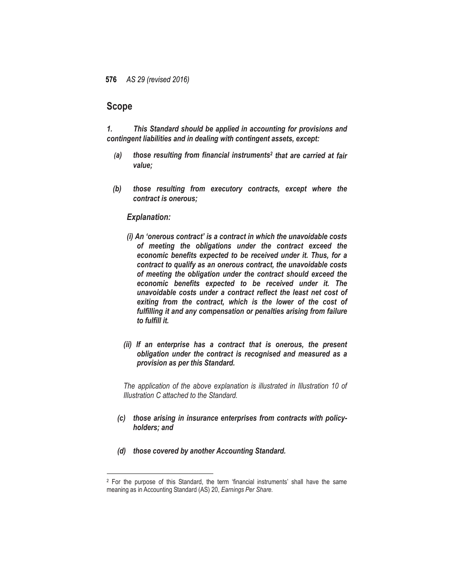#### **Scope**

1

*1. This Standard should be applied in accounting for provisions and contingent liabilities and in dealing with contingent assets, except:*

- *(a) those resulting from financial instruments<sup>2</sup> that are carried at fair value;*
- *(b) those resulting from executory contracts, except where the contract is onerous;*

#### *Explanation:*

- *(i) An 'onerous contract' is a contract in which the unavoidable costs of meeting the obligations under the contract exceed the economic benefits expected to be received under it. Thus, for a contract to qualify as an onerous contract, the unavoidable costs of meeting the obligation under the contract should exceed the economic benefits expected to be received under it. The unavoidable costs under a contract reflect the least net cost of*  exiting from the contract, which is the lower of the cost of *fulfilling it and any compensation or penalties arising from failure to fulfill it.*
- *(ii) If an enterprise has a contract that is onerous, the present obligation under the contract is recognised and measured as a provision as per this Standard.*

*The application of the above explanation is illustrated in Illustration 10 of Illustration C attached to the Standard.*

- *(c) those arising in insurance enterprises from contracts with policyholders; and*
- *(d) those covered by another Accounting Standard.*

<sup>2</sup> For the purpose of this Standard, the term 'financial instruments' shall have the same meaning as in Accounting Standard (AS) 20, *Earnings Per Share.*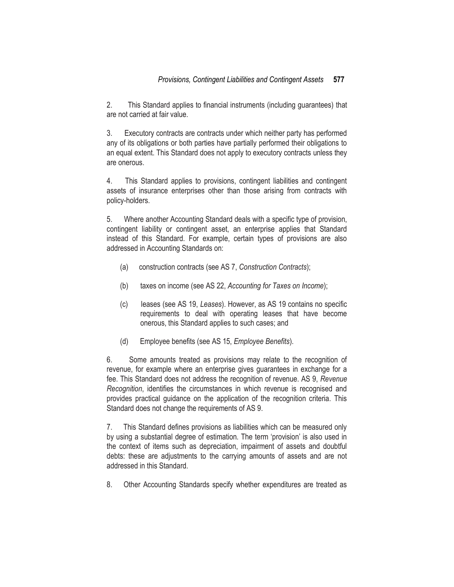2. This Standard applies to financial instruments (including guarantees) that are not carried at fair value.

3. Executory contracts are contracts under which neither party has performed any of its obligations or both parties have partially performed their obligations to an equal extent. This Standard does not apply to executory contracts unless they are onerous.

4. This Standard applies to provisions, contingent liabilities and contingent assets of insurance enterprises other than those arising from contracts with policy-holders.

5. Where another Accounting Standard deals with a specific type of provision, contingent liability or contingent asset, an enterprise applies that Standard instead of this Standard. For example, certain types of provisions are also addressed in Accounting Standards on:

- (a) construction contracts (see AS 7, *Construction Contracts*);
- (b) taxes on income (see AS 22, *Accounting for Taxes on Income*);
- (c) leases (see AS 19, *Leases*). However, as AS 19 contains no specific requirements to deal with operating leases that have become onerous, this Standard applies to such cases; and
- (d) Employee benefits (see AS 15, *Employee Benefits*).

6. Some amounts treated as provisions may relate to the recognition of revenue, for example where an enterprise gives guarantees in exchange for a fee. This Standard does not address the recognition of revenue. AS 9, *Revenue Recognition*, identifies the circumstances in which revenue is recognised and provides practical guidance on the application of the recognition criteria. This Standard does not change the requirements of AS 9.

7. This Standard defines provisions as liabilities which can be measured only by using a substantial degree of estimation. The term 'provision' is also used in the context of items such as depreciation, impairment of assets and doubtful debts: these are adjustments to the carrying amounts of assets and are not addressed in this Standard.

8. Other Accounting Standards specify whether expenditures are treated as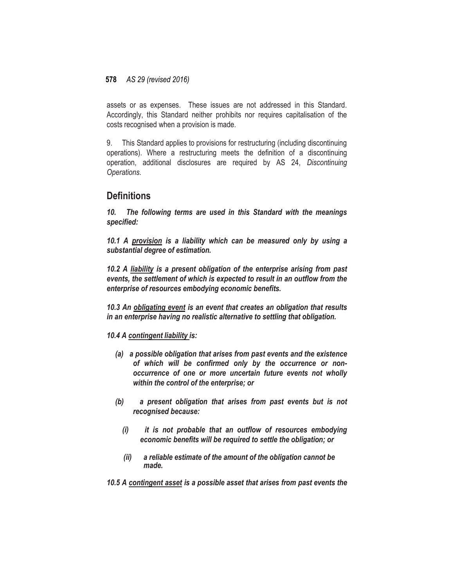assets or as expenses. These issues are not addressed in this Standard. Accordingly, this Standard neither prohibits nor requires capitalisation of the costs recognised when a provision is made.

9. This Standard applies to provisions for restructuring (including discontinuing operations). Where a restructuring meets the definition of a discontinuing operation, additional disclosures are required by AS 24, *Discontinuing Operations.*

### **Definitions**

*10. The following terms are used in this Standard with the meanings specified:*

*10.1 A provision is a liability which can be measured only by using a substantial degree of estimation.*

*10.2 A liability is a present obligation of the enterprise arising from past events, the settlement of which is expected to result in an outflow from the enterprise of resources embodying economic benefits.*

*10.3 An obligating event is an event that creates an obligation that results in an enterprise having no realistic alternative to settling that obligation.*

*10.4 A contingent liability is:*

- *(a) a possible obligation that arises from past events and the existence of which will be confirmed only by the occurrence or nonoccurrence of one or more uncertain future events not wholly within the control of the enterprise; or*
- *(b) a present obligation that arises from past events but is not recognised because:*
	- *(i) it is not probable that an outflow of resources embodying economic benefits will be required to settle the obligation; or*
	- *(ii) a reliable estimate of the amount of the obligation cannot be made.*

*10.5 A contingent asset is a possible asset that arises from past events the*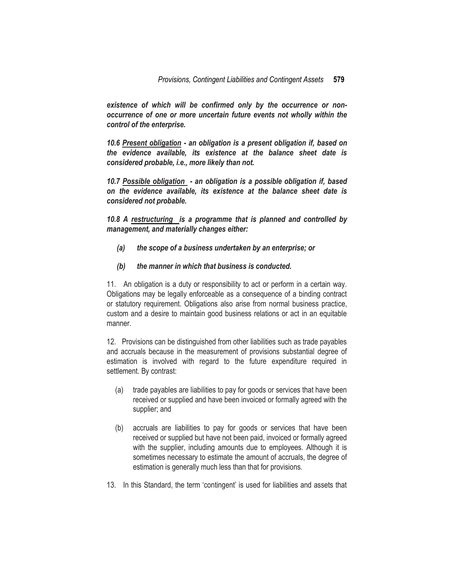*existence of which will be confirmed only by the occurrence or nonoccurrence of one or more uncertain future events not wholly within the control of the enterprise.*

*10.6 Present obligation - an obligation is a present obligation if, based on the evidence available, its existence at the balance sheet date is considered probable, i.e., more likely than not.*

*10.7 Possible obligation - an obligation is a possible obligation if, based on the evidence available, its existence at the balance sheet date is considered not probable.*

*10.8 A restructuring is a programme that is planned and controlled by management, and materially changes either:*

- *(a) the scope of a business undertaken by an enterprise; or*
- *(b) the manner in which that business is conducted.*

11. An obligation is a duty or responsibility to act or perform in a certain way. Obligations may be legally enforceable as a consequence of a binding contract or statutory requirement. Obligations also arise from normal business practice, custom and a desire to maintain good business relations or act in an equitable manner.

12. Provisions can be distinguished from other liabilities such as trade payables and accruals because in the measurement of provisions substantial degree of estimation is involved with regard to the future expenditure required in settlement. By contrast:

- (a) trade payables are liabilities to pay for goods or services that have been received or supplied and have been invoiced or formally agreed with the supplier; and
- (b) accruals are liabilities to pay for goods or services that have been received or supplied but have not been paid, invoiced or formally agreed with the supplier, including amounts due to employees. Although it is sometimes necessary to estimate the amount of accruals, the degree of estimation is generally much less than that for provisions.
- 13. In this Standard, the term 'contingent' is used for liabilities and assets that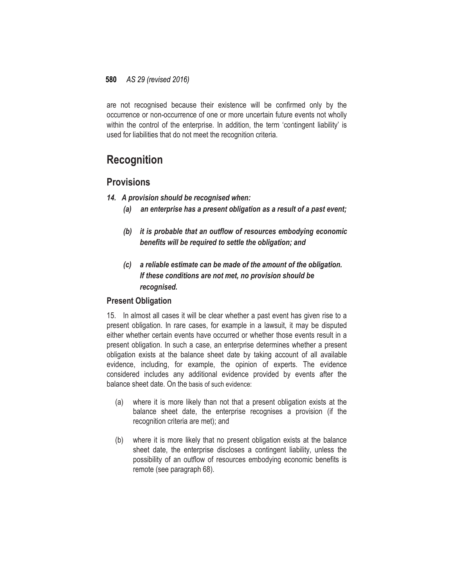are not recognised because their existence will be confirmed only by the occurrence or non-occurrence of one or more uncertain future events not wholly within the control of the enterprise. In addition, the term 'contingent liability' is used for liabilities that do not meet the recognition criteria.

# **Recognition**

## **Provisions**

*14. A provision should be recognised when:*

- *(a) an enterprise has a present obligation as a result of a past event;*
- *(b) it is probable that an outflow of resources embodying economic benefits will be required to settle the obligation; and*
- *(c) a reliable estimate can be made of the amount of the obligation. If these conditions are not met, no provision should be recognised.*

#### **Present Obligation**

15. In almost all cases it will be clear whether a past event has given rise to a present obligation. In rare cases, for example in a lawsuit, it may be disputed either whether certain events have occurred or whether those events result in a present obligation. In such a case, an enterprise determines whether a present obligation exists at the balance sheet date by taking account of all available evidence, including, for example, the opinion of experts. The evidence considered includes any additional evidence provided by events after the balance sheet date. On the basis of such evidence:

- (a) where it is more likely than not that a present obligation exists at the balance sheet date, the enterprise recognises a provision (if the recognition criteria are met); and
- (b) where it is more likely that no present obligation exists at the balance sheet date, the enterprise discloses a contingent liability, unless the possibility of an outflow of resources embodying economic benefits is remote (see paragraph 68).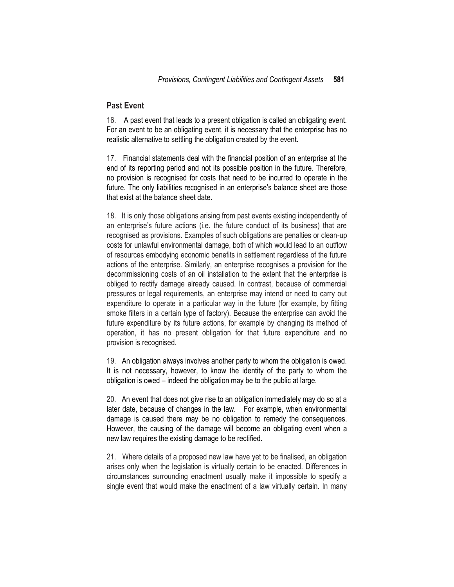#### **Past Event**

16. A past event that leads to a present obligation is called an obligating event. For an event to be an obligating event, it is necessary that the enterprise has no realistic alternative to settling the obligation created by the event.

17. Financial statements deal with the financial position of an enterprise at the end of its reporting period and not its possible position in the future. Therefore, no provision is recognised for costs that need to be incurred to operate in the future. The only liabilities recognised in an enterprise's balance sheet are those that exist at the balance sheet date.

18. It is only those obligations arising from past events existing independently of an enterprise's future actions (i.e. the future conduct of its business) that are recognised as provisions. Examples of such obligations are penalties or clean-up costs for unlawful environmental damage, both of which would lead to an outflow of resources embodying economic benefits in settlement regardless of the future actions of the enterprise. Similarly, an enterprise recognises a provision for the decommissioning costs of an oil installation to the extent that the enterprise is obliged to rectify damage already caused. In contrast, because of commercial pressures or legal requirements, an enterprise may intend or need to carry out expenditure to operate in a particular way in the future (for example, by fitting smoke filters in a certain type of factory). Because the enterprise can avoid the future expenditure by its future actions, for example by changing its method of operation, it has no present obligation for that future expenditure and no provision is recognised.

19. An obligation always involves another party to whom the obligation is owed. It is not necessary, however, to know the identity of the party to whom the obligation is owed – indeed the obligation may be to the public at large.

20. An event that does not give rise to an obligation immediately may do so at a later date, because of changes in the law. For example, when environmental damage is caused there may be no obligation to remedy the consequences. However, the causing of the damage will become an obligating event when a new law requires the existing damage to be rectified.

21. Where details of a proposed new law have yet to be finalised, an obligation arises only when the legislation is virtually certain to be enacted. Differences in circumstances surrounding enactment usually make it impossible to specify a single event that would make the enactment of a law virtually certain. In many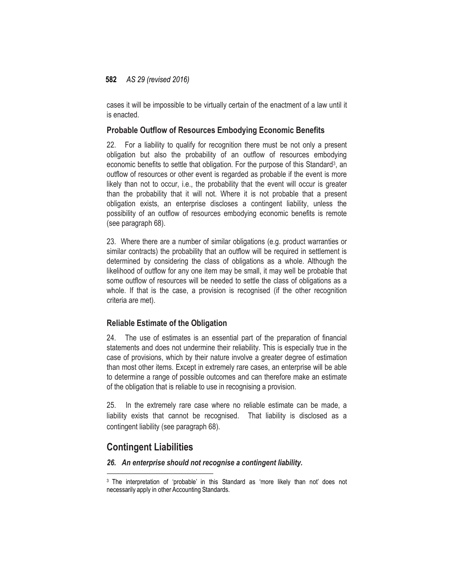cases it will be impossible to be virtually certain of the enactment of a law until it is enacted.

#### **Probable Outflow of Resources Embodying Economic Benefits**

22. For a liability to qualify for recognition there must be not only a present obligation but also the probability of an outflow of resources embodying economic benefits to settle that obligation. For the purpose of this Standard<sup>3</sup>, an outflow of resources or other event is regarded as probable if the event is more likely than not to occur, i.e., the probability that the event will occur is greater than the probability that it will not. Where it is not probable that a present obligation exists, an enterprise discloses a contingent liability, unless the possibility of an outflow of resources embodying economic benefits is remote (see paragraph 68).

23. Where there are a number of similar obligations (e.g. product warranties or similar contracts) the probability that an outflow will be required in settlement is determined by considering the class of obligations as a whole. Although the likelihood of outflow for any one item may be small, it may well be probable that some outflow of resources will be needed to settle the class of obligations as a whole. If that is the case, a provision is recognised (if the other recognition criteria are met).

#### **Reliable Estimate of the Obligation**

24. The use of estimates is an essential part of the preparation of financial statements and does not undermine their reliability. This is especially true in the case of provisions, which by their nature involve a greater degree of estimation than most other items. Except in extremely rare cases, an enterprise will be able to determine a range of possible outcomes and can therefore make an estimate of the obligation that is reliable to use in recognising a provision.

25. In the extremely rare case where no reliable estimate can be made, a liability exists that cannot be recognised. That liability is disclosed as a contingent liability (see paragraph 68).

## **Contingent Liabilities**

1

#### *26. An enterprise should not recognise a contingent liability.*

<sup>&</sup>lt;sup>3</sup> The interpretation of 'probable' in this Standard as 'more likely than not' does not necessarily apply in other Accounting Standards.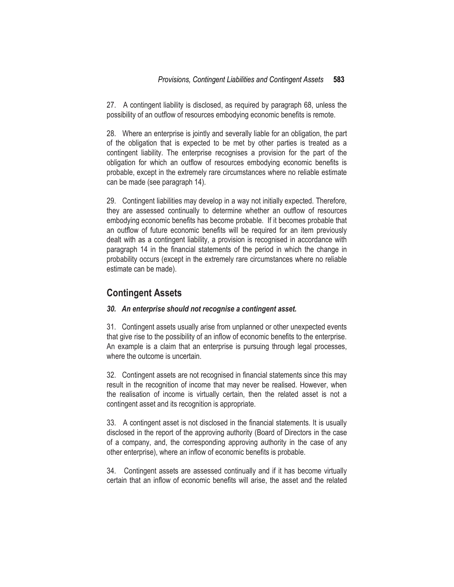27. A contingent liability is disclosed, as required by paragraph 68, unless the possibility of an outflow of resources embodying economic benefits is remote.

28. Where an enterprise is jointly and severally liable for an obligation, the part of the obligation that is expected to be met by other parties is treated as a contingent liability. The enterprise recognises a provision for the part of the obligation for which an outflow of resources embodying economic benefits is probable, except in the extremely rare circumstances where no reliable estimate can be made (see paragraph 14).

29. Contingent liabilities may develop in a way not initially expected. Therefore, they are assessed continually to determine whether an outflow of resources embodying economic benefits has become probable. If it becomes probable that an outflow of future economic benefits will be required for an item previously dealt with as a contingent liability, a provision is recognised in accordance with paragraph 14 in the financial statements of the period in which the change in probability occurs (except in the extremely rare circumstances where no reliable estimate can be made).

## **Contingent Assets**

#### *30. An enterprise should not recognise a contingent asset.*

31. Contingent assets usually arise from unplanned or other unexpected events that give rise to the possibility of an inflow of economic benefits to the enterprise. An example is a claim that an enterprise is pursuing through legal processes, where the outcome is uncertain.

32. Contingent assets are not recognised in financial statements since this may result in the recognition of income that may never be realised. However, when the realisation of income is virtually certain, then the related asset is not a contingent asset and its recognition is appropriate.

33. A contingent asset is not disclosed in the financial statements. It is usually disclosed in the report of the approving authority (Board of Directors in the case of a company, and, the corresponding approving authority in the case of any other enterprise), where an inflow of economic benefits is probable.

34. Contingent assets are assessed continually and if it has become virtually certain that an inflow of economic benefits will arise, the asset and the related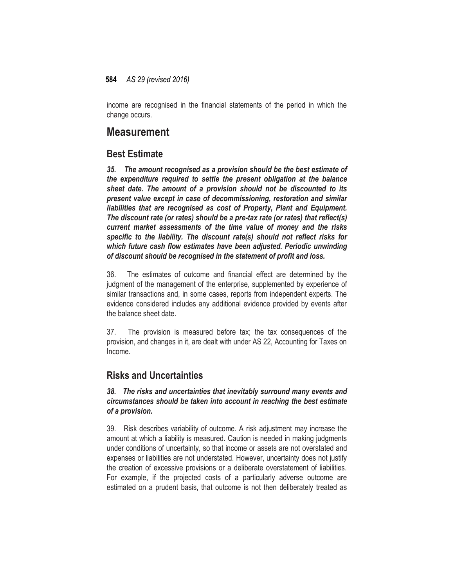income are recognised in the financial statements of the period in which the change occurs.

## **Measurement**

## **Best Estimate**

*35. The amount recognised as a provision should be the best estimate of the expenditure required to settle the present obligation at the balance sheet date. The amount of a provision should not be discounted to its present value except in case of decommissioning, restoration and similar liabilities that are recognised as cost of Property, Plant and Equipment. The discount rate (or rates) should be a pre-tax rate (or rates) that reflect(s) current market assessments of the time value of money and the risks specific to the liability. The discount rate(s) should not reflect risks for which future cash flow estimates have been adjusted. Periodic unwinding of discount should be recognised in the statement of profit and loss.*

36. The estimates of outcome and financial effect are determined by the judgment of the management of the enterprise, supplemented by experience of similar transactions and, in some cases, reports from independent experts. The evidence considered includes any additional evidence provided by events after the balance sheet date.

37. The provision is measured before tax; the tax consequences of the provision, and changes in it, are dealt with under AS 22, Accounting for Taxes on Income.

## **Risks and Uncertainties**

#### *38. The risks and uncertainties that inevitably surround many events and circumstances should be taken into account in reaching the best estimate of a provision.*

39. Risk describes variability of outcome. A risk adjustment may increase the amount at which a liability is measured. Caution is needed in making judgments under conditions of uncertainty, so that income or assets are not overstated and expenses or liabilities are not understated. However, uncertainty does not justify the creation of excessive provisions or a deliberate overstatement of liabilities. For example, if the projected costs of a particularly adverse outcome are estimated on a prudent basis, that outcome is not then deliberately treated as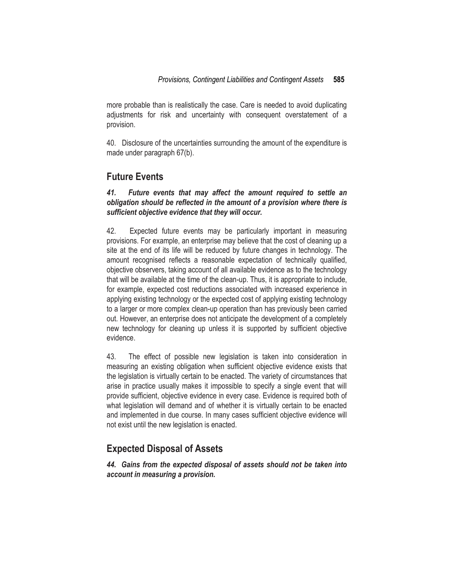more probable than is realistically the case. Care is needed to avoid duplicating adjustments for risk and uncertainty with consequent overstatement of a provision.

40. Disclosure of the uncertainties surrounding the amount of the expenditure is made under paragraph 67(b).

## **Future Events**

#### *41. Future events that may affect the amount required to settle an obligation should be reflected in the amount of a provision where there is sufficient objective evidence that they will occur.*

42. Expected future events may be particularly important in measuring provisions. For example, an enterprise may believe that the cost of cleaning up a site at the end of its life will be reduced by future changes in technology. The amount recognised reflects a reasonable expectation of technically qualified, objective observers, taking account of all available evidence as to the technology that will be available at the time of the clean-up. Thus, it is appropriate to include, for example, expected cost reductions associated with increased experience in applying existing technology or the expected cost of applying existing technology to a larger or more complex clean-up operation than has previously been carried out. However, an enterprise does not anticipate the development of a completely new technology for cleaning up unless it is supported by sufficient objective evidence.

43. The effect of possible new legislation is taken into consideration in measuring an existing obligation when sufficient objective evidence exists that the legislation is virtually certain to be enacted. The variety of circumstances that arise in practice usually makes it impossible to specify a single event that will provide sufficient, objective evidence in every case. Evidence is required both of what legislation will demand and of whether it is virtually certain to be enacted and implemented in due course. In many cases sufficient objective evidence will not exist until the new legislation is enacted.

## **Expected Disposal of Assets**

*44. Gains from the expected disposal of assets should not be taken into account in measuring a provision.*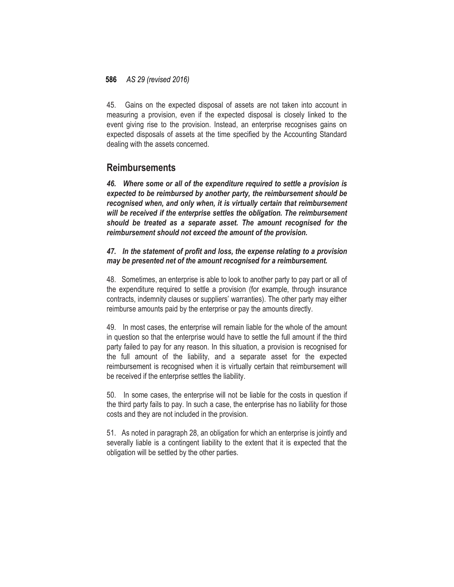45. Gains on the expected disposal of assets are not taken into account in measuring a provision, even if the expected disposal is closely linked to the event giving rise to the provision. Instead, an enterprise recognises gains on expected disposals of assets at the time specified by the Accounting Standard dealing with the assets concerned.

## **Reimbursements**

*46. Where some or all of the expenditure required to settle a provision is expected to be reimbursed by another party, the reimbursement should be recognised when, and only when, it is virtually certain that reimbursement will be received if the enterprise settles the obligation. The reimbursement should be treated as a separate asset. The amount recognised for the reimbursement should not exceed the amount of the provision.*

#### *47. In the statement of profit and loss, the expense relating to a provision may be presented net of the amount recognised for a reimbursement.*

48. Sometimes, an enterprise is able to look to another party to pay part or all of the expenditure required to settle a provision (for example, through insurance contracts, indemnity clauses or suppliers' warranties). The other party may either reimburse amounts paid by the enterprise or pay the amounts directly.

49. In most cases, the enterprise will remain liable for the whole of the amount in question so that the enterprise would have to settle the full amount if the third party failed to pay for any reason. In this situation, a provision is recognised for the full amount of the liability, and a separate asset for the expected reimbursement is recognised when it is virtually certain that reimbursement will be received if the enterprise settles the liability.

50. In some cases, the enterprise will not be liable for the costs in question if the third party fails to pay. In such a case, the enterprise has no liability for those costs and they are not included in the provision.

51. As noted in paragraph 28, an obligation for which an enterprise is jointly and severally liable is a contingent liability to the extent that it is expected that the obligation will be settled by the other parties.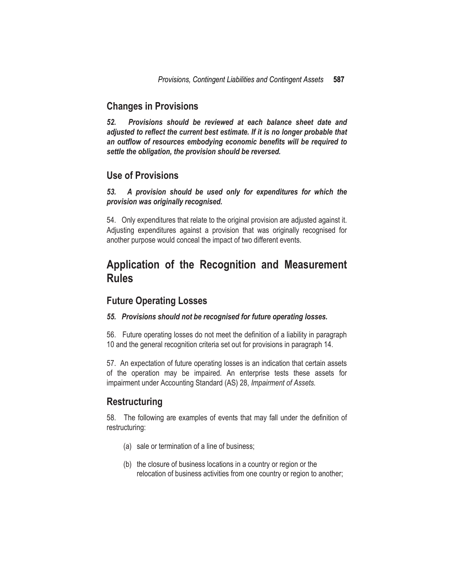### **Changes in Provisions**

*52. Provisions should be reviewed at each balance sheet date and adjusted to reflect the current best estimate. If it is no longer probable that an outflow of resources embodying economic benefits will be required to settle the obligation, the provision should be reversed.*

### **Use of Provisions**

*53. A provision should be used only for expenditures for which the provision was originally recognised.*

54. Only expenditures that relate to the original provision are adjusted against it. Adjusting expenditures against a provision that was originally recognised for another purpose would conceal the impact of two different events.

## **Application of the Recognition and Measurement Rules**

### **Future Operating Losses**

#### *55. Provisions should not be recognised for future operating losses.*

56. Future operating losses do not meet the definition of a liability in paragraph 10 and the general recognition criteria set out for provisions in paragraph 14.

57. An expectation of future operating losses is an indication that certain assets of the operation may be impaired. An enterprise tests these assets for impairment under Accounting Standard (AS) 28, *Impairment of Assets.*

### **Restructuring**

58. The following are examples of events that may fall under the definition of restructuring:

- (a) sale or termination of a line of business;
- (b) the closure of business locations in a country or region or the relocation of business activities from one country or region to another;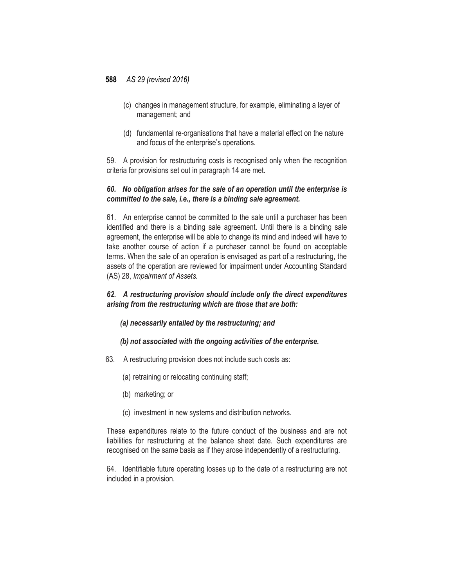- (c) changes in management structure, for example, eliminating a layer of management; and
- (d) fundamental re-organisations that have a material effect on the nature and focus of the enterprise's operations.

59. A provision for restructuring costs is recognised only when the recognition criteria for provisions set out in paragraph 14 are met.

#### *60. No obligation arises for the sale of an operation until the enterprise is committed to the sale, i.e., there is a binding sale agreement.*

61. An enterprise cannot be committed to the sale until a purchaser has been identified and there is a binding sale agreement. Until there is a binding sale agreement, the enterprise will be able to change its mind and indeed will have to take another course of action if a purchaser cannot be found on acceptable terms. When the sale of an operation is envisaged as part of a restructuring, the assets of the operation are reviewed for impairment under Accounting Standard (AS) 28, *Impairment of Assets.*

#### *62. A restructuring provision should include only the direct expenditures arising from the restructuring which are those that are both:*

#### *(a) necessarily entailed by the restructuring; and*

#### *(b) not associated with the ongoing activities of the enterprise.*

- 63. A restructuring provision does not include such costs as:
	- (a) retraining or relocating continuing staff;
	- (b) marketing; or
	- (c) investment in new systems and distribution networks.

These expenditures relate to the future conduct of the business and are not liabilities for restructuring at the balance sheet date. Such expenditures are recognised on the same basis as if they arose independently of a restructuring.

64. Identifiable future operating losses up to the date of a restructuring are not included in a provision.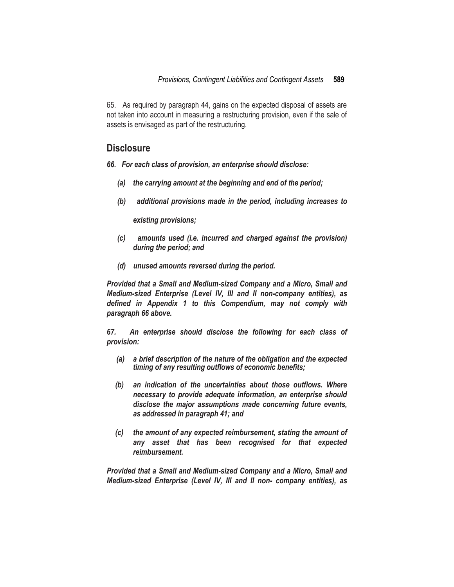65. As required by paragraph 44, gains on the expected disposal of assets are not taken into account in measuring a restructuring provision, even if the sale of assets is envisaged as part of the restructuring.

### **Disclosure**

*66. For each class of provision, an enterprise should disclose:*

- *(a) the carrying amount at the beginning and end of the period;*
- *(b) additional provisions made in the period, including increases to*

*existing provisions;*

- *(c) amounts used (i.e. incurred and charged against the provision) during the period; and*
- *(d) unused amounts reversed during the period.*

*Provided that a Small and Medium-sized Company and a Micro, Small and Medium-sized Enterprise (Level IV, III and II non-company entities), as defined in Appendix 1 to this Compendium, may not comply with paragraph 66 above.*

*67. An enterprise should disclose the following for each class of provision:*

- *(a) a brief description of the nature of the obligation and the expected timing of any resulting outflows of economic benefits;*
- *(b) an indication of the uncertainties about those outflows. Where necessary to provide adequate information, an enterprise should disclose the major assumptions made concerning future events, as addressed in paragraph 41; and*
- *(c) the amount of any expected reimbursement, stating the amount of any asset that has been recognised for that expected reimbursement.*

*Provided that a Small and Medium-sized Company and a Micro, Small and Medium-sized Enterprise (Level IV, III and II non- company entities), as*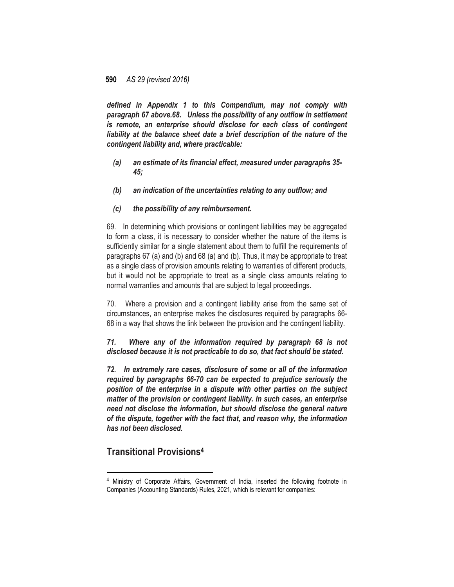*defined in Appendix 1 to this Compendium, may not comply with paragraph 67 above.68. Unless the possibility of any outflow in settlement is remote, an enterprise should disclose for each class of contingent*  liability at the balance sheet date a brief description of the nature of the *contingent liability and, where practicable:*

- *(a) an estimate of its financial effect, measured under paragraphs 35- 45;*
- *(b) an indication of the uncertainties relating to any outflow; and*
- *(c) the possibility of any reimbursement.*

69. In determining which provisions or contingent liabilities may be aggregated to form a class, it is necessary to consider whether the nature of the items is sufficiently similar for a single statement about them to fulfill the requirements of paragraphs 67 (a) and (b) and 68 (a) and (b). Thus, it may be appropriate to treat as a single class of provision amounts relating to warranties of different products, but it would not be appropriate to treat as a single class amounts relating to normal warranties and amounts that are subject to legal proceedings.

70. Where a provision and a contingent liability arise from the same set of circumstances, an enterprise makes the disclosures required by paragraphs 66- 68 in a way that shows the link between the provision and the contingent liability.

*71. Where any of the information required by paragraph 68 is not disclosed because it is not practicable to do so, that fact should be stated.*

*72. In extremely rare cases, disclosure of some or all of the information required by paragraphs 66-70 can be expected to prejudice seriously the position of the enterprise in a dispute with other parties on the subject matter of the provision or contingent liability. In such cases, an enterprise need not disclose the information, but should disclose the general nature of the dispute, together with the fact that, and reason why, the information has not been disclosed.*

## **Transitional Provisions<sup>4</sup>**

1

<sup>4</sup> Ministry of Corporate Affairs, Government of India, inserted the following footnote in Companies (Accounting Standards) Rules, 2021, which is relevant for companies: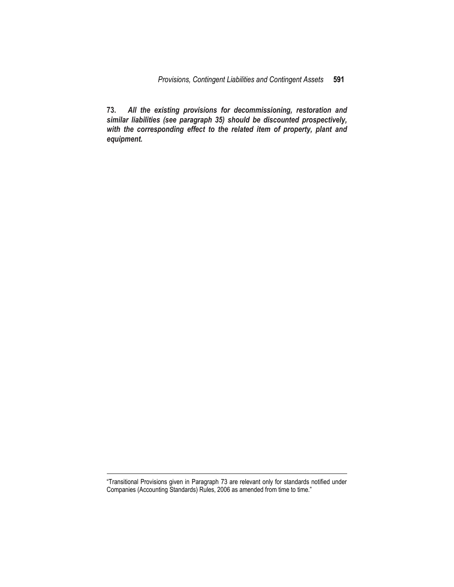**73.** *All the existing provisions for decommissioning, restoration and similar liabilities (see paragraph 35) should be discounted prospectively, with the corresponding effect to the related item of property, plant and equipment.*

1

<sup>&</sup>quot;Transitional Provisions given in Paragraph 73 are relevant only for standards notified under Companies (Accounting Standards) Rules, 2006 as amended from time to time."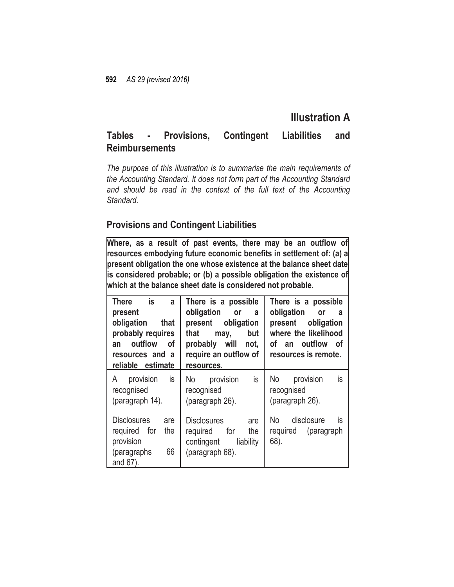# **Illustration A**

## **Tables - Provisions, Contingent Liabilities and Reimbursements**

*The purpose of this illustration is to summarise the main requirements of the Accounting Standard. It does not form part of the Accounting Standard and should be read in the context of the full text of the Accounting Standard.*

## **Provisions and Contingent Liabilities**

**Where, as a result of past events, there may be an outflow of resources embodying future economic benefits in settlement of: (a) a present obligation the one whose existence at the balance sheet date is considered probable; or (b) a possible obligation the existence of which at the balance sheet date is considered not probable.**

| is<br>There<br>a<br>present<br>obligation that<br>probably requires<br>an outflow<br><b>of</b><br>resources and a<br>reliable estimate | There is a possible<br>obligation or<br>a<br>present obligation<br>but<br>that<br>may,<br>probably will not,<br>require an outflow of<br>resources. | There is a possible<br>obligation or<br>a a<br>present obligation<br>where the likelihood<br>of an outflow of<br>resources is remote. |
|----------------------------------------------------------------------------------------------------------------------------------------|-----------------------------------------------------------------------------------------------------------------------------------------------------|---------------------------------------------------------------------------------------------------------------------------------------|
| A provision<br><b>is</b><br>recognised<br>(paragraph 14).                                                                              | No provision<br>is.<br>recognised<br>(paragraph 26).                                                                                                | is<br>No l<br>provision<br>recognised<br>(paragraph 26).                                                                              |
| <b>Disclosures</b><br>are<br>the<br>required for<br>provision<br>66<br>(paragraphs<br>and 67).                                         | Disclosures<br>are<br>required for<br>the<br>contingent liability<br>(paragraph 68).                                                                | No disclosure<br><b>is</b><br>required (paragraph<br>$68$ ).                                                                          |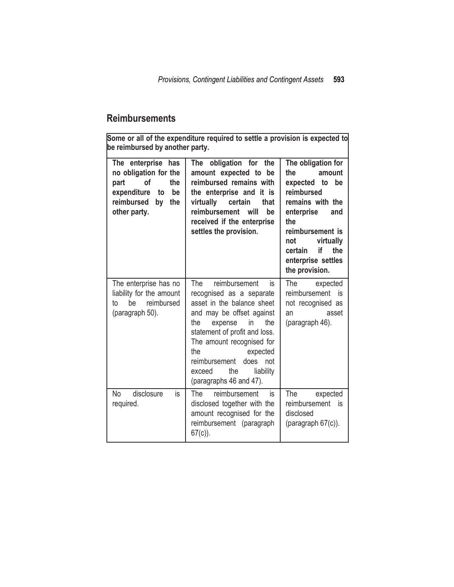# **Reimbursements**

**Some or all of the expenditure required to settle a provision is expected to be reimbursed by another party.**

| The enterprise has<br>no obligation for the<br>of<br>the<br>part<br>expenditure<br>to<br>be<br>reimbursed<br>the<br>by<br>other party. | The obligation for the<br>amount expected to be<br>reimbursed remains with<br>the enterprise and it is<br>virtually<br>certain<br>that<br>reimbursement<br>will<br>be<br>received if the enterprise<br>settles the provision.                                                                                              | The obligation for<br>the<br>amount<br>expected to be<br>reimbursed<br>remains with the<br>enterprise<br>and<br>the<br>reimbursement is<br>virtually<br>not<br>if<br>the<br>certain<br>enterprise settles<br>the provision. |
|----------------------------------------------------------------------------------------------------------------------------------------|----------------------------------------------------------------------------------------------------------------------------------------------------------------------------------------------------------------------------------------------------------------------------------------------------------------------------|-----------------------------------------------------------------------------------------------------------------------------------------------------------------------------------------------------------------------------|
| The enterprise has no<br>liability for the amount<br>reimbursed<br>be<br>to<br>(paragraph 50).                                         | reimbursement<br>The<br>is<br>recognised as a separate<br>asset in the balance sheet<br>and may be offset against<br>the<br>expense<br>in<br>the<br>statement of profit and loss.<br>The amount recognised for<br>expected<br>the<br>reimbursement<br>does<br>not<br>the<br>exceed<br>liability<br>(paragraphs 46 and 47). | The<br>expected<br>reimbursement<br>is i<br>not recognised as<br>asset<br>an<br>(paragraph 46).                                                                                                                             |
| disclosure<br>No l<br>is<br>required.                                                                                                  | reimbursement<br>The<br>is<br>disclosed together with the<br>amount recognised for the<br>reimbursement (paragraph<br>$67(c)$ ).                                                                                                                                                                                           | The<br>expected<br>reimbursement is<br>disclosed<br>(paragraph $67(c)$ ).                                                                                                                                                   |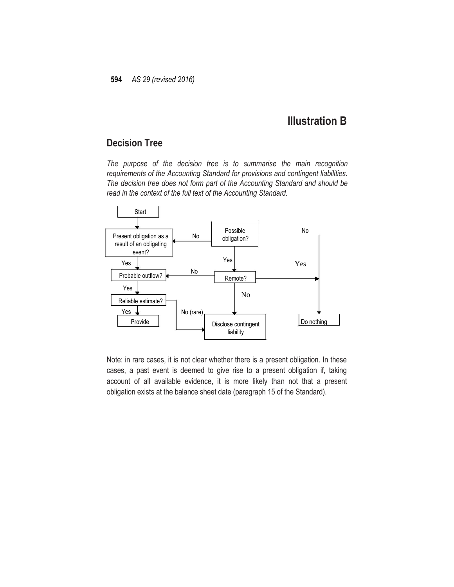# **Illustration B**

## **Decision Tree**

*The purpose of the decision tree is to summarise the main recognition requirements of the Accounting Standard for provisions and contingent liabilities. The decision tree does not form part of the Accounting Standard and should be read in the context of the full text of the Accounting Standard.*



Note: in rare cases, it is not clear whether there is a present obligation. In these cases, a past event is deemed to give rise to a present obligation if, taking account of all available evidence, it is more likely than not that a present obligation exists at the balance sheet date (paragraph 15 of the Standard).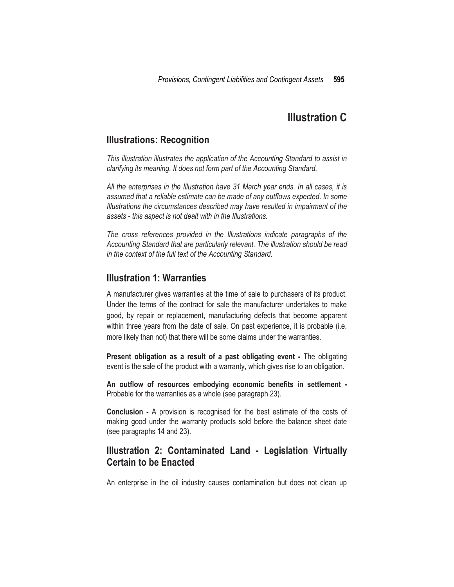# **Illustration C**

### **Illustrations: Recognition**

*This illustration illustrates the application of the Accounting Standard to assist in clarifying its meaning. It does not form part of the Accounting Standard.*

*All the enterprises in the Illustration have 31 March year ends. In all cases, it is assumed that a reliable estimate can be made of any outflows expected. In some Illustrations the circumstances described may have resulted in impairment of the assets - this aspect is not dealt with in the Illustrations.*

*The cross references provided in the Illustrations indicate paragraphs of the Accounting Standard that are particularly relevant. The illustration should be read in the context of the full text of the Accounting Standard.*

### **Illustration 1: Warranties**

A manufacturer gives warranties at the time of sale to purchasers of its product. Under the terms of the contract for sale the manufacturer undertakes to make good, by repair or replacement, manufacturing defects that become apparent within three years from the date of sale. On past experience, it is probable (i.e. more likely than not) that there will be some claims under the warranties.

**Present obligation as a result of a past obligating event -** The obligating event is the sale of the product with a warranty, which gives rise to an obligation.

**An outflow of resources embodying economic benefits in settlement -** Probable for the warranties as a whole (see paragraph 23).

**Conclusion -** A provision is recognised for the best estimate of the costs of making good under the warranty products sold before the balance sheet date (see paragraphs 14 and 23).

## **Illustration 2: Contaminated Land - Legislation Virtually Certain to be Enacted**

An enterprise in the oil industry causes contamination but does not clean up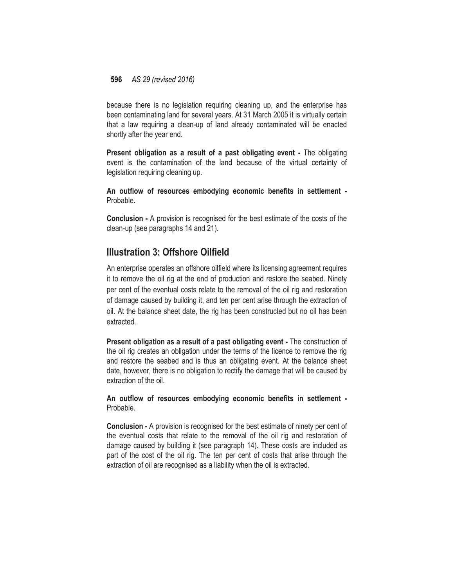because there is no legislation requiring cleaning up, and the enterprise has been contaminating land for several years. At 31 March 2005 it is virtually certain that a law requiring a clean-up of land already contaminated will be enacted shortly after the year end.

**Present obligation as a result of a past obligating event -** The obligating event is the contamination of the land because of the virtual certainty of legislation requiring cleaning up.

**An outflow of resources embodying economic benefits in settlement -** Probable.

**Conclusion -** A provision is recognised for the best estimate of the costs of the clean-up (see paragraphs 14 and 21).

### **Illustration 3: Offshore Oilfield**

An enterprise operates an offshore oilfield where its licensing agreement requires it to remove the oil rig at the end of production and restore the seabed. Ninety per cent of the eventual costs relate to the removal of the oil rig and restoration of damage caused by building it, and ten per cent arise through the extraction of oil. At the balance sheet date, the rig has been constructed but no oil has been extracted.

**Present obligation as a result of a past obligating event -** The construction of the oil rig creates an obligation under the terms of the licence to remove the rig and restore the seabed and is thus an obligating event. At the balance sheet date, however, there is no obligation to rectify the damage that will be caused by extraction of the oil.

**An outflow of resources embodying economic benefits in settlement -** Probable.

**Conclusion -** A provision is recognised for the best estimate of ninety per cent of the eventual costs that relate to the removal of the oil rig and restoration of damage caused by building it (see paragraph 14). These costs are included as part of the cost of the oil rig. The ten per cent of costs that arise through the extraction of oil are recognised as a liability when the oil is extracted.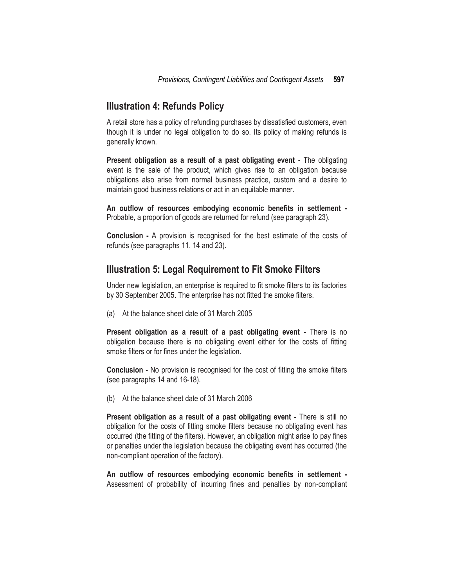### **Illustration 4: Refunds Policy**

A retail store has a policy of refunding purchases by dissatisfied customers, even though it is under no legal obligation to do so. Its policy of making refunds is generally known.

**Present obligation as a result of a past obligating event -** The obligating event is the sale of the product, which gives rise to an obligation because obligations also arise from normal business practice, custom and a desire to maintain good business relations or act in an equitable manner.

**An outflow of resources embodying economic benefits in settlement -** Probable, a proportion of goods are returned for refund (see paragraph 23).

**Conclusion -** A provision is recognised for the best estimate of the costs of refunds (see paragraphs 11, 14 and 23).

### **Illustration 5: Legal Requirement to Fit Smoke Filters**

Under new legislation, an enterprise is required to fit smoke filters to its factories by 30 September 2005. The enterprise has not fitted the smoke filters.

(a) At the balance sheet date of 31 March 2005

**Present obligation as a result of a past obligating event -** There is no obligation because there is no obligating event either for the costs of fitting smoke filters or for fines under the legislation.

**Conclusion -** No provision is recognised for the cost of fitting the smoke filters (see paragraphs 14 and 16-18).

(b) At the balance sheet date of 31 March 2006

**Present obligation as a result of a past obligating event -** There is still no obligation for the costs of fitting smoke filters because no obligating event has occurred (the fitting of the filters). However, an obligation might arise to pay fines or penalties under the legislation because the obligating event has occurred (the non-compliant operation of the factory).

**An outflow of resources embodying economic benefits in settlement -** Assessment of probability of incurring fines and penalties by non-compliant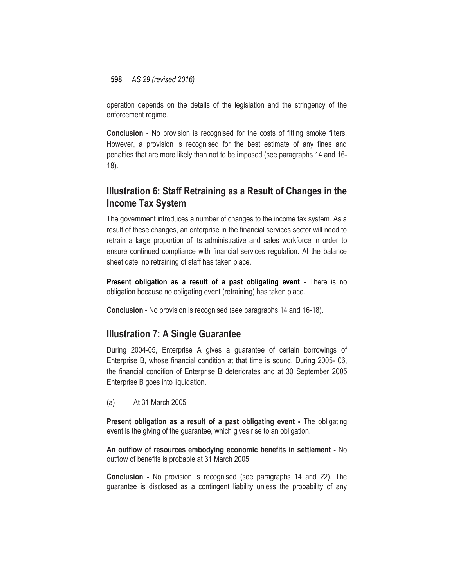operation depends on the details of the legislation and the stringency of the enforcement regime.

**Conclusion -** No provision is recognised for the costs of fitting smoke filters. However, a provision is recognised for the best estimate of any fines and penalties that are more likely than not to be imposed (see paragraphs 14 and 16- 18).

## **Illustration 6: Staff Retraining as a Result of Changes in the Income Tax System**

The government introduces a number of changes to the income tax system. As a result of these changes, an enterprise in the financial services sector will need to retrain a large proportion of its administrative and sales workforce in order to ensure continued compliance with financial services regulation. At the balance sheet date, no retraining of staff has taken place.

**Present obligation as a result of a past obligating event - There is no** obligation because no obligating event (retraining) has taken place.

**Conclusion -** No provision is recognised (see paragraphs 14 and 16-18).

## **Illustration 7: A Single Guarantee**

During 2004-05, Enterprise A gives a guarantee of certain borrowings of Enterprise B, whose financial condition at that time is sound. During 2005- 06, the financial condition of Enterprise B deteriorates and at 30 September 2005 Enterprise B goes into liquidation.

(a) At 31 March 2005

**Present obligation as a result of a past obligating event -** The obligating event is the giving of the guarantee, which gives rise to an obligation.

**An outflow of resources embodying economic benefits in settlement -** No outflow of benefits is probable at 31 March 2005.

**Conclusion -** No provision is recognised (see paragraphs 14 and 22). The guarantee is disclosed as a contingent liability unless the probability of any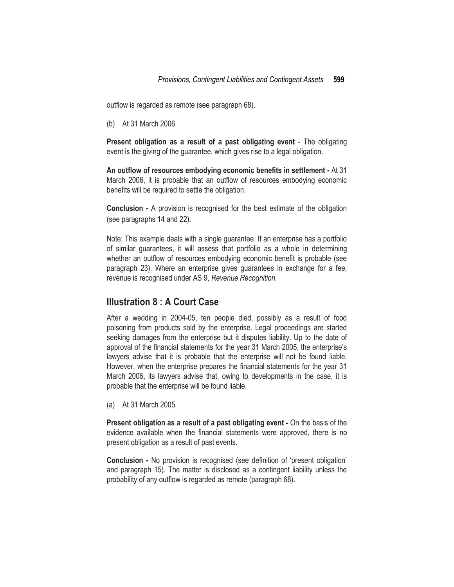outflow is regarded as remote (see paragraph 68).

(b) At 31 March 2006

**Present obligation as a result of a past obligating event** - The obligating event is the giving of the guarantee, which gives rise to a legal obligation.

**An outflow of resources embodying economic benefits in settlement -** At 31 March 2006, it is probable that an outflow of resources embodying economic benefits will be required to settle the obligation.

**Conclusion -** A provision is recognised for the best estimate of the obligation (see paragraphs 14 and 22).

Note: This example deals with a single guarantee. If an enterprise has a portfolio of similar guarantees, it will assess that portfolio as a whole in determining whether an outflow of resources embodying economic benefit is probable (see paragraph 23). Where an enterprise gives guarantees in exchange for a fee, revenue is recognised under AS 9, *Revenue Recognition.*

### **Illustration 8 : A Court Case**

After a wedding in 2004-05, ten people died, possibly as a result of food poisoning from products sold by the enterprise. Legal proceedings are started seeking damages from the enterprise but it disputes liability. Up to the date of approval of the financial statements for the year 31 March 2005, the enterprise's lawyers advise that it is probable that the enterprise will not be found liable. However, when the enterprise prepares the financial statements for the year 31 March 2006, its lawyers advise that, owing to developments in the case, it is probable that the enterprise will be found liable.

(a) At 31 March 2005

**Present obligation as a result of a past obligating event -** On the basis of the evidence available when the financial statements were approved, there is no present obligation as a result of past events.

**Conclusion -** No provision is recognised (see definition of 'present obligation' and paragraph 15). The matter is disclosed as a contingent liability unless the probability of any outflow is regarded as remote (paragraph 68).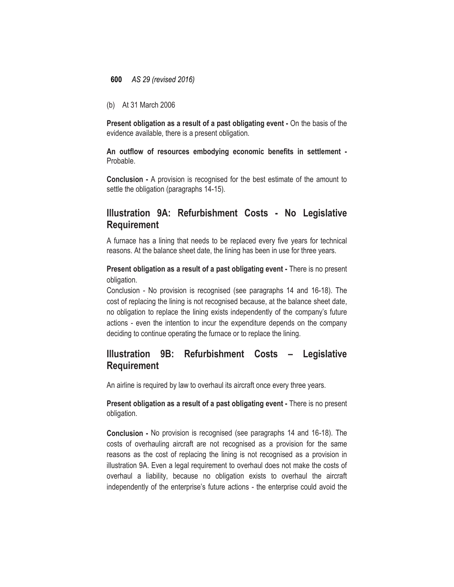#### (b) At 31 March 2006

**Present obligation as a result of a past obligating event -** On the basis of the evidence available, there is a present obligation.

**An outflow of resources embodying economic benefits in settlement -** Probable.

**Conclusion -** A provision is recognised for the best estimate of the amount to settle the obligation (paragraphs 14-15).

## **Illustration 9A: Refurbishment Costs - No Legislative Requirement**

A furnace has a lining that needs to be replaced every five years for technical reasons. At the balance sheet date, the lining has been in use for three years.

**Present obligation as a result of a past obligating event -** There is no present obligation.

Conclusion - No provision is recognised (see paragraphs 14 and 16-18). The cost of replacing the lining is not recognised because, at the balance sheet date, no obligation to replace the lining exists independently of the company's future actions - even the intention to incur the expenditure depends on the company deciding to continue operating the furnace or to replace the lining.

## **Illustration 9B: Refurbishment Costs – Legislative Requirement**

An airline is required by law to overhaul its aircraft once every three years.

**Present obligation as a result of a past obligating event -** There is no present obligation.

**Conclusion -** No provision is recognised (see paragraphs 14 and 16-18). The costs of overhauling aircraft are not recognised as a provision for the same reasons as the cost of replacing the lining is not recognised as a provision in illustration 9A. Even a legal requirement to overhaul does not make the costs of overhaul a liability, because no obligation exists to overhaul the aircraft independently of the enterprise's future actions - the enterprise could avoid the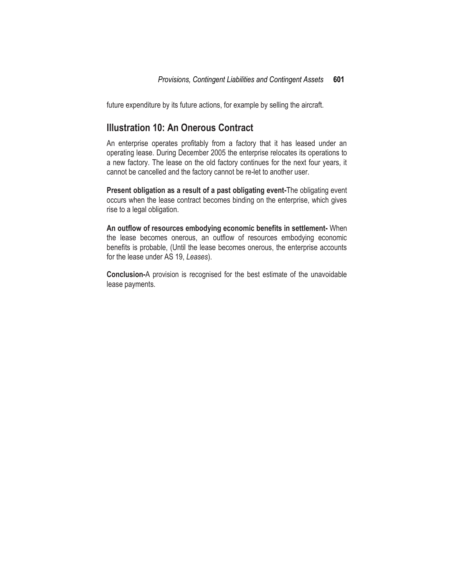future expenditure by its future actions, for example by selling the aircraft.

## **Illustration 10: An Onerous Contract**

An enterprise operates profitably from a factory that it has leased under an operating lease. During December 2005 the enterprise relocates its operations to a new factory. The lease on the old factory continues for the next four years, it cannot be cancelled and the factory cannot be re-let to another user.

**Present obligation as a result of a past obligating event-**The obligating event occurs when the lease contract becomes binding on the enterprise, which gives rise to a legal obligation.

**An outflow of resources embodying economic benefits in settlement-** When the lease becomes onerous, an outflow of resources embodying economic benefits is probable, (Until the lease becomes onerous, the enterprise accounts for the lease under AS 19, *Leases*).

**Conclusion-**A provision is recognised for the best estimate of the unavoidable lease payments.